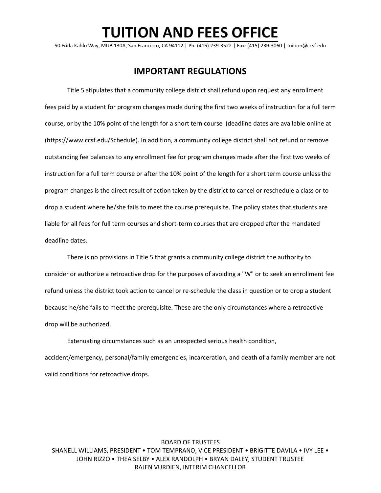## **TUITION AND FEES OFFICE**

50 Frida Kahlo Way, MUB 130A, San Francisco, CA 94112 | Ph: (415) 239-3522 | Fax: (415) 239-3060 | [tuition@ccsf.edu](mailto:tuition@ccsf.edu)

### **IMPORTANT REGULATIONS**

Title 5 stipulates that a community college district shall refund upon request any enrollment fees paid by a student for program changes made during the first two weeks of instruction for a full term course, or by the 10% point of the length for a short tern course (deadline dates are available online at [\(https://www.ccsf.edu/Schedule\)](https://www.ccsf.edu/Schedule). In addition, a community college district shall not refund or remove outstanding fee balances to any enrollment fee for program changes made after the first two weeks of instruction for a full term course or after the 10% point of the length for a short term course unless the program changes is the direct result of action taken by the district to cancel or reschedule a class or to drop a student where he/she fails to meet the course prerequisite. The policy states that students are liable for all fees for full term courses and short-term courses that are dropped after the mandated deadline dates.

There is no provisions in Title 5 that grants a community college district the authority to consider or authorize a retroactive drop for the purposes of avoiding a "W" or to seek an enrollment fee refund unless the district took action to cancel or re-schedule the class in question or to drop a student because he/she fails to meet the prerequisite. These are the only circumstances where a retroactive drop will be authorized.

Extenuating circumstances such as an unexpected serious health condition, accident/emergency, personal/family emergencies, incarceration, and death of a family member are not valid conditions for retroactive drops.

#### BOARD OF TRUSTEES SHANELL WILLIAMS, PRESIDENT • TOM TEMPRANO, VICE PRESIDENT • BRIGITTE DAVILA • IVY LEE • JOHN RIZZO • THEA SELBY • ALEX RANDOLPH • BRYAN DALEY, STUDENT TRUSTEE RAJEN VURDIEN, INTERIM CHANCELLOR